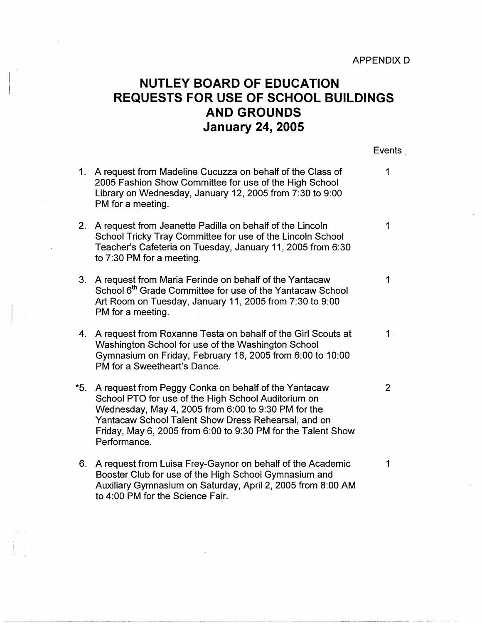## **NUTLEY BOARD OF EDUCATION REQUESTS FOR USE OF SCHOOL BUILDINGS AND GROUNDS January 24, 2005**

Events

1

- 1. A request from Madeline Cucuzza on behalf of the Class of 1 2005 Fashion Show Committee for use of the High School Library on Wednesday, January 12, 2005 from 7:30 to 9:00 PM for a meeting.
- 2. A request from Jeanette Padilla on behalf of the Lincoln 1 School Tricky Tray Committee for use of the Lincoln School Teacher's Cafeteria on Tuesday, January 11, 2005 from 6:30 to 7:30 PM for a meeting.
- 3. A request from Maria Ferinde on behalf of the Yantacaw School 6<sup>th</sup> Grade Committee for use of the Yantacaw School Art Room on Tuesday, January 11, 2005 from 7:30 to 9:00 PM for a meeting.
- 4. A request from Roxanne Testa on behalf of the Girl Scouts at 1 · Washington School for use of the Washington School Gymnasium on Friday, February 18,. 2005 from 6:00 to 10:00 PM for a Sweetheart's Dance.
- \*5. A request from Peggy Conka on behalf of the Yantacaw 2 School PTO for use of the High School Auditorium on Wednesday, May 4, 2005 from 6:00 to 9:30 PM for the Yantacaw School Talent Show Dress Rehearsal, and on Friday, May 6, 2005 from 6:00 to 9:30 PM for the Talent Show Performance.
- 6. A request from Luisa Frey-Gaynor on behalf of the Academic 1 Booster Club for use of the High School Gymnasium and Auxiliary Gymnasium on Saturday, April 2, 2005 from 8:00 AM to 4:00 PM for the Science Fair.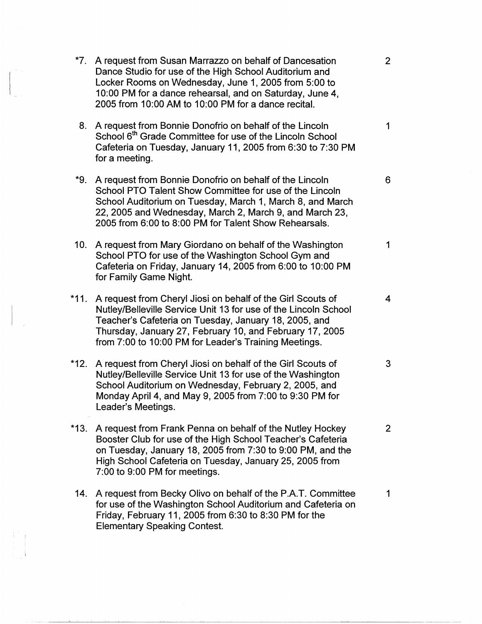| $*7.$  | A request from Susan Marrazzo on behalf of Dancesation<br>Dance Studio for use of the High School Auditorium and<br>Locker Rooms on Wednesday, June 1, 2005 from 5:00 to<br>10:00 PM for a dance rehearsal, and on Saturday, June 4,<br>2005 from 10:00 AM to 10:00 PM for a dance recital.                  | 2 <sup>1</sup> |
|--------|--------------------------------------------------------------------------------------------------------------------------------------------------------------------------------------------------------------------------------------------------------------------------------------------------------------|----------------|
| 8.     | A request from Bonnie Donofrio on behalf of the Lincoln<br>School 6 <sup>th</sup> Grade Committee for use of the Lincoln School<br>Cafeteria on Tuesday, January 11, 2005 from 6:30 to 7:30 PM<br>for a meeting.                                                                                             | $\mathbf{1}$   |
| *9.    | A request from Bonnie Donofrio on behalf of the Lincoln<br>School PTO Talent Show Committee for use of the Lincoln<br>School Auditorium on Tuesday, March 1, March 8, and March<br>22, 2005 and Wednesday, March 2, March 9, and March 23,<br>2005 from 6:00 to 8:00 PM for Talent Show Rehearsals.          | 6              |
| 10.    | A request from Mary Giordano on behalf of the Washington<br>School PTO for use of the Washington School Gym and<br>Cafeteria on Friday, January 14, 2005 from 6:00 to 10:00 PM<br>for Family Game Night.                                                                                                     | 1              |
| $*11.$ | A request from Cheryl Jiosi on behalf of the Girl Scouts of<br>Nutley/Belleville Service Unit 13 for use of the Lincoln School<br>Teacher's Cafeteria on Tuesday, January 18, 2005, and<br>Thursday, January 27, February 10, and February 17, 2005<br>from 7:00 to 10:00 PM for Leader's Training Meetings. | $\overline{4}$ |
| $*12.$ | A request from Cheryl Jiosi on behalf of the Girl Scouts of<br>Nutley/Belleville Service Unit 13 for use of the Washington<br>School Auditorium on Wednesday, February 2, 2005, and<br>Monday April 4, and May 9, 2005 from 7:00 to 9:30 PM for<br>Leader's Meetings.                                        | 3              |
| *13.   | A request from Frank Penna on behalf of the Nutley Hockey<br>Booster Club for use of the High School Teacher's Cafeteria<br>on Tuesday, January 18, 2005 from 7:30 to 9:00 PM, and the<br>High School Cafeteria on Tuesday, January 25, 2005 from<br>7:00 to 9:00 PM for meetings.                           | 2 <sup>1</sup> |
| 14.    | A request from Becky Olivo on behalf of the P.A.T. Committee<br>for use of the Washington School Auditorium and Cafeteria on<br>Friday, February 11, 2005 from 6:30 to 8:30 PM for the<br><b>Elementary Speaking Contest.</b>                                                                                | 1              |

 $\mathbb{R}^2$ 

 $\begin{pmatrix} 1 & 1 & 1 \\ 1 & 1 & 1 \\ 1 & 1 & 1 \end{pmatrix}$